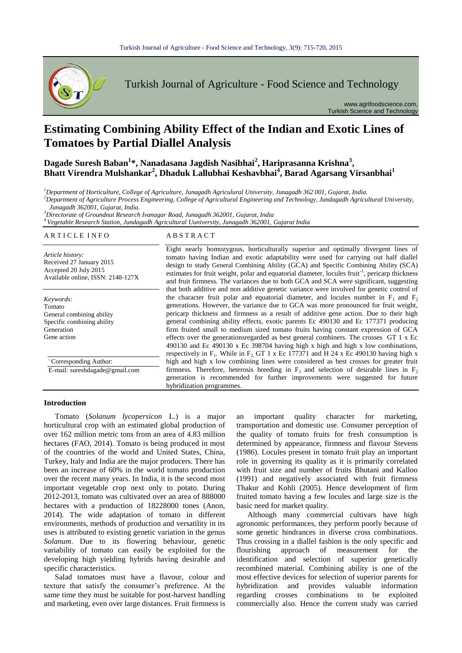

Turkish Journal of Agriculture - Food Science and Technology

www.agrifoodscience.com, Turkish Science and Technology

# **Estimating Combining Ability Effect of the Indian and Exotic Lines of Tomatoes by Partial Diallel Analysis**

**Dagade Suresh Baban<sup>1</sup> \*, Nanadasana Jagdish Nasibhai<sup>2</sup> , Hariprasanna Krishna<sup>3</sup> , Bhatt Virendra Mulshankar<sup>2</sup> , Dhaduk Lallubhai Keshavbhai<sup>4</sup> , Barad Agarsang Virsanbhai<sup>1</sup>**

*<sup>1</sup>Department of Horticulture, College of Agriculture, Junagadh Agriculural University, Junagadh 362 001, Gujarat, India.*

*<sup>2</sup>Department of Agriculture Process Engineering, College of Agricultural Engineering and Technology, Jundagadh Agricultural University, Junagadh 362001, Gujarat, India.*

*<sup>3</sup>Directorate of Groundnut Research Ivanagar Road, Junagadh 362001, Gujarat, India*

# *<sup>4</sup>Vegetable Research Station, Jundagadh Agricultural Uuniversity, Junagadh 362001, Gujarat India*

# A R T I C L E I N F O A B S T R A C T

*Article history:* Received 27 January 2015 Accepted 20 July 2015 Available online, ISSN: 2148-127X

*Keywords:* Tomato General combining ability Specific combining ability Generation Gene action

\* Corresponding Author:

E-mail: sureshdagade@gmail.com

Eight nearly homozygous, horticulturally superior and optimally divergent lines of tomato having Indian and exotic adaptability were used for carrying out half diallel design to study General Combining Ability (GCA) and Specific Combining Ability (SCA) estimates for fruit weight, polar and equatorial diameter, locules fruit<sup>-1</sup>, pericarp thickness and fruit firmness. The variances due to both GCA and SCA were significant, suggesting that both additive and non additive genetic variance were involved for genetic control of the character fruit polar and equatorial diameter, and locules number in  $F_1$  and  $F_2$ generations. However, the variance due to GCA was more pronounced for fruit weight, pericarp thickness and firmness as a result of additive gene action. Due to their high general combining ability effects, exotic parents Ec 490130 and Ec 177371 producing firm fruited small to medium sized tomato fruits having constant expression of GCA effects over the generationsregarded as best general combiners. The crosses GT 1 x Ec 490130 and Ec 490130 x Ec 398704 having high x high and high x low combinations, respectively in  $F_1$ . While in  $F_2$ , GT 1 x Ec 177371 and H 24 x Ec 490130 having high x high and high x low combining lines were considered as best crosses for greater fruit firmness. Therefore, heterosis breeding in  $F_1$  and selection of desirable lines in  $F_2$ generation is recommended for further improvements were suggested for future hybridization programmes.

## **Introduction**

Tomato (*Solanum lycopersicon* L.) is a major horticultural crop with an estimated global production of over 162 million metric tons from an area of 4.83 million hectares (FAO, 2014). Tomato is being produced in most of the countries of the world and United States, China, Turkey, Italy and India are the major producers. There has been an increase of 60% in the world tomato production over the recent many years. In India, it is the second most important vegetable crop next only to potato. During 2012-2013, tomato was cultivated over an area of 888000 hectares with a production of 18228000 tones (Anon, 2014). The wide adaptation of tomato in different environments, methods of production and versatility in its uses is attributed to existing genetic variation in the genus *Solanum*. Due to its flowering behaviour, genetic variability of tomato can easily be exploited for the developing high yielding hybrids having desirable and specific characteristics.

Salad tomatoes must have a flavour, colour and texture that satisfy the consumer's preference. At the same time they must be suitable for post-harvest handling and marketing, even over large distances. Fruit firmness is an important quality character for marketing, transportation and domestic use. Consumer perception of the quality of tomato fruits for fresh consumption is determined by appearance, firmness and flavour Stevens (1986). Locules present in tomato fruit play an important role in governing its quality as it is primarily correlated with fruit size and number of fruits Bhutani and Kalloo (1991) and negatively associated with fruit firmness Thakur and Kohli (2005). Hence development of firm fruited tomato having a few locules and large size is the basic need for market quality.

Although many commercial cultivars have high agronomic performances, they perform poorly because of some genetic hindrances in diverse cross combinations. Thus crossing in a diallel fashion is the only specific and flourishing approach of measurement for the identification and selection of superior genetically recombined material. Combining ability is one of the most effective devices for selection of superior parents for hybridization and provides valuable information regarding crosses combinations to be exploited commercially also. Hence the current study was carried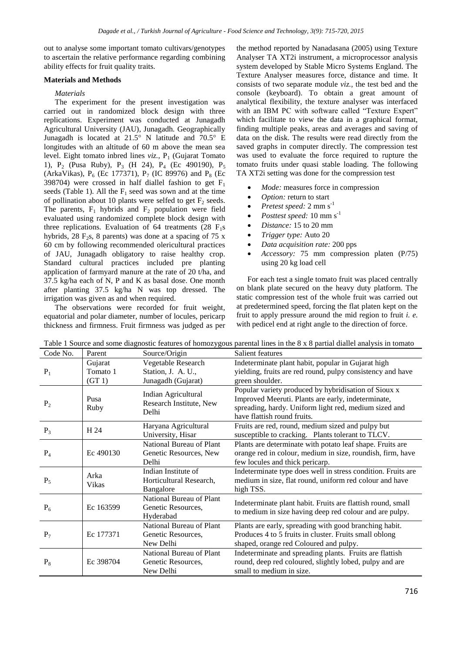out to analyse some important tomato cultivars/genotypes to ascertain the relative performance regarding combining ability effects for fruit quality traits.

## **Materials and Methods**

## *Materials*

The experiment for the present investigation was carried out in randomized block design with three replications. Experiment was conducted at Junagadh Agricultural University (JAU), Junagadh. Geographically Junagadh is located at 21.5° N latitude and 70.5° E longitudes with an altitude of 60 m above the mean sea level. Eight tomato inbred lines *viz.*, P<sub>1</sub> (Gujarat Tomato 1), P<sub>2</sub> (Pusa Ruby), P<sub>3</sub> (H 24), P<sub>4</sub> (Ec 490190), P<sub>5</sub> (ArkaVikas),  $P_6$  (Ec 177371),  $P_7$  (IC 89976) and  $P_8$  (Ec 398704) were crossed in half diallel fashion to get  $F_1$ seeds (Table 1). All the  $F_1$  seed was sown and at the time of pollination about 10 plants were selfed to get  $F_2$  seeds. The parents,  $F_1$  hybrids and  $F_2$  population were field evaluated using randomized complete block design with three replications. Evaluation of 64 treatments  $(28 \text{ F}_1\text{s})$ hybrids, 28 F<sub>2</sub>s, 8 parents) was done at a spacing of 75 x 60 cm by following recommended olericultural practices of JAU, Junagadh obligatory to raise healthy crop. Standard cultural practices included pre planting application of farmyard manure at the rate of 20 t/ha, and 37.5 kg/ha each of N, P and K as basal dose. One month after planting 37.5 kg/ha N was top dressed. The irrigation was given as and when required.

The observations were recorded for fruit weight, equatorial and polar diameter, number of locules, pericarp thickness and firmness. Fruit firmness was judged as per

the method reported by Nanadasana (2005) using Texture Analyser TA XT2i instrument, a microprocessor analysis system developed by Stable Micro Systems England. The Texture Analyser measures force, distance and time. It consists of two separate module *viz.,* the test bed and the console (keyboard). To obtain a great amount of analytical flexibility, the texture analyser was interfaced with an IBM PC with software called "Texture Expert" which facilitate to view the data in a graphical format, finding multiple peaks, areas and averages and saving of data on the disk. The results were read directly from the saved graphs in computer directly. The compression test was used to evaluate the force required to rupture the tomato fruits under quasi stable loading. The following TA XT2i setting was done for the compression test

- *Mode:* measures force in compression
- *Option:* return to start
- *Pretest speed:* 2 mm s<sup>-1</sup>
- *Posttest speed:* 10 mm s-1
- *Distance:* 15 to 20 mm
- *Trigger type:* Auto 20
- *Data acquisition rate:* 200 pps
- *Accessory:* 75 mm compression platen (P/75) using 20 kg load cell

For each test a single tomato fruit was placed centrally on blank plate secured on the heavy duty platform. The static compression test of the whole fruit was carried out at predetermined speed, forcing the flat platen kept on the fruit to apply pressure around the mid region to fruit *i. e.*  with pedicel end at right angle to the direction of force.

| Code No.       | Parent                       | Source/Origin                                                  | Salient features                                                                                                                                                                                   |
|----------------|------------------------------|----------------------------------------------------------------|----------------------------------------------------------------------------------------------------------------------------------------------------------------------------------------------------|
| $P_1$          | Gujarat<br>Tomato 1<br>(GT1) | Vegetable Research<br>Station, J. A. U.,<br>Junagadh (Gujarat) | Indeterminate plant habit, popular in Gujarat high<br>yielding, fruits are red round, pulpy consistency and have<br>green shoulder.                                                                |
| P <sub>2</sub> | Pusa<br>Ruby                 | Indian Agricultural<br>Research Institute, New<br>Delhi        | Popular variety produced by hybridisation of Sioux x<br>Improved Meeruti. Plants are early, indeterminate,<br>spreading, hardy. Uniform light red, medium sized and<br>have flattish round fruits. |
| $P_3$          | H 24                         | Haryana Agricultural<br>University, Hisar                      | Fruits are red, round, medium sized and pulpy but<br>susceptible to cracking. Plants tolerant to TLCV.                                                                                             |
| $P_4$          | Ec 490130                    | National Bureau of Plant<br>Genetic Resources, New<br>Delhi    | Plants are determinate with potato leaf shape. Fruits are<br>orange red in colour, medium in size, roundish, firm, have<br>few locules and thick pericarp.                                         |
| $P_5$          | Arka<br>Vikas                | Indian Institute of<br>Horticultural Research,<br>Bangalore    | Indeterminate type does well in stress condition. Fruits are<br>medium in size, flat round, uniform red colour and have<br>high TSS.                                                               |
| $P_6$          | Ec 163599                    | National Bureau of Plant<br>Genetic Resources,<br>Hyderabad    | Indeterminate plant habit. Fruits are flattish round, small<br>to medium in size having deep red colour and are pulpy.                                                                             |
| $P_7$          | Ec 177371                    | National Bureau of Plant<br>Genetic Resources.<br>New Delhi    | Plants are early, spreading with good branching habit.<br>Produces 4 to 5 fruits in cluster. Fruits small oblong<br>shaped, orange red Coloured and pulpy.                                         |
| $P_8$          | Ec 398704                    | National Bureau of Plant<br>Genetic Resources,<br>New Delhi    | Indeterminate and spreading plants. Fruits are flattish<br>round, deep red coloured, slightly lobed, pulpy and are<br>small to medium in size.                                                     |

Table 1 Source and some diagnostic features of homozygous parental lines in the 8 x 8 partial diallel analysis in tomato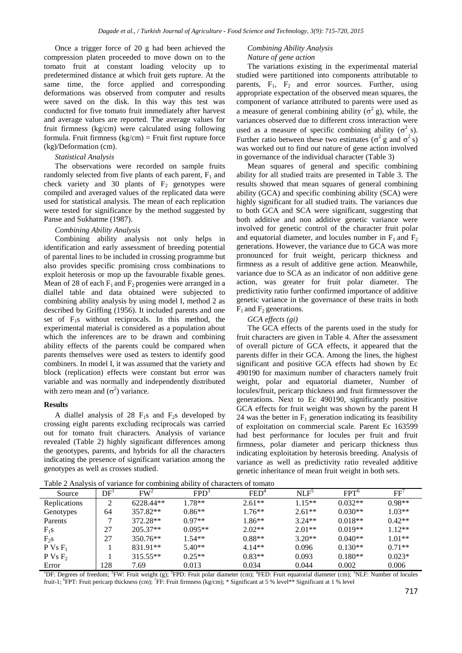Once a trigger force of 20 g had been achieved the compression platen proceeded to move down on to the tomato fruit at constant loading velocity up to predetermined distance at which fruit gets rupture. At the same time, the force applied and corresponding deformations was observed from computer and results were saved on the disk. In this way this test was conducted for five tomato fruit immediately after harvest and average values are reported. The average values for fruit firmness (kg/cm) were calculated using following formula. Fruit firmness  $(kg/cm)$  = Fruit first rupture force (kg)/Deformation (cm).

## *Statistical Analysis*

The observations were recorded on sample fruits randomly selected from five plants of each parent,  $F_1$  and check variety and 30 plants of  $F_2$  genotypes were compiled and averaged values of the replicated data were used for statistical analysis. The mean of each replication were tested for significance by the method suggested by Panse and Sukhatme (1987).

#### *Combining Ability Analysis*

Combining ability analysis not only helps in identification and early assessment of breeding potential of parental lines to be included in crossing programme but also provides specific promising cross combinations to exploit heterosis or mop up the favourable fixable genes. Mean of 28 of each  $F_1$  and  $F_2$  progenies were arranged in a diallel table and data obtained were subjected to combining ability analysis by using model I, method 2 as described by Griffing (1956). It included parents and one set of  $F_1$ s without reciprocals. In this method, the experimental material is considered as a population about which the inferences are to be drawn and combining ability effects of the parents could be compared when parents themselves were used as testers to identify good combiners. In model I, it was assumed that the variety and block (replication) effects were constant but error was variable and was normally and independently distributed with zero mean and  $(\sigma^2)$  variance.

#### **Results**

A diallel analysis of 28  $F_1s$  and  $F_2s$  developed by crossing eight parents excluding reciprocals was carried out for tomato fruit characters. Analysis of variance revealed (Table 2) highly significant differences among the genotypes, parents, and hybrids for all the characters indicating the presence of significant variation among the genotypes as well as crosses studied.

### *Combining Ability Analysis Nature of gene action*

The variations existing in the experimental material studied were partitioned into components attributable to parents,  $F_1$ ,  $F_2$  and error sources. Further, using appropriate expectation of the observed mean squares, the component of variance attributed to parents were used as a measure of general combining ability ( $\sigma^2$  g), while, the variances observed due to different cross interaction were used as a measure of specific combining ability ( $\sigma^2$  s). Further ratio between these two estimates ( $\sigma^2$  g and  $\sigma^2$  s) was worked out to find out nature of gene action involved in governance of the individual character (Table 3)

Mean squares of general and specific combining ability for all studied traits are presented in Table 3. The results showed that mean squares of general combining ability (GCA) and specific combining ability (SCA) were highly significant for all studied traits. The variances due to both GCA and SCA were significant, suggesting that both additive and non additive genetic variance were involved for genetic control of the character fruit polar and equatorial diameter, and locules number in  $F_1$  and  $F_2$ generations. However, the variance due to GCA was more pronounced for fruit weight, pericarp thickness and firmness as a result of additive gene action. Meanwhile, variance due to SCA as an indicator of non additive gene action, was greater for fruit polar diameter. The predictivity ratio further confirmed importance of additive genetic variance in the governance of these traits in both  $F_1$  and  $F_2$  generations.

#### *GCA effects (gi)*

The GCA effects of the parents used in the study for fruit characters are given in Table 4. After the assessment of overall picture of GCA effects, it appeared that the parents differ in their GCA. Among the lines, the highest significant and positive GCA effects had shown by Ec 490190 for maximum number of characters namely fruit weight, polar and equatorial diameter, Number of locules/fruit, pericarp thickness and fruit firmnessover the generations. Next to Ec 490190, significantly positive GCA effects for fruit weight was shown by the parent H 24 was the better in  $F_1$  generation indicating its feasibility of exploitation on commercial scale. Parent Ec 163599 had best performance for locules per fruit and fruit firmness, polar diameter and pericarp thickness thus indicating exploitation by heterosis breeding. Analysis of variance as well as predictivity ratio revealed additive genetic inheritance of mean fruit weight in both sets.

| Table 2 Analysis of variance for combining ability of characters of tomato |     |                 |                  |          |                  |                  |             |  |  |
|----------------------------------------------------------------------------|-----|-----------------|------------------|----------|------------------|------------------|-------------|--|--|
| Source                                                                     | DF' | FW <sup>2</sup> | FPD <sup>3</sup> | $FED^4$  | NLF <sup>5</sup> | FPT <sup>o</sup> | ${\rm FF'}$ |  |  |
| Replications                                                               |     | 6228.44**       | $1.78**$         | $2.61**$ | $1.15**$         | $0.032**$        | $0.98**$    |  |  |
| Genotypes                                                                  | 64  | 357.82**        | $0.86**$         | $1.76**$ | $2.61**$         | $0.030**$        | $1.03**$    |  |  |
| Parents                                                                    |     | 372.28**        | $0.97**$         | $1.86**$ | $3.24**$         | $0.018**$        | $0.42**$    |  |  |
| $F_1s$                                                                     | 27  | $205.37**$      | $0.095**$        | $2.02**$ | $2.01**$         | $0.019**$        | $1.12**$    |  |  |
| $F_{2}S$                                                                   | 27  | $350.76**$      | $1.54**$         | $0.88**$ | $3.20**$         | $0.040**$        | $1.01**$    |  |  |
| $P Vs F_1$                                                                 |     | 831.91**        | $5.40**$         | $4.14**$ | 0.096            | $0.130**$        | $0.71**$    |  |  |
| PVSF <sub>2</sub>                                                          |     | $315.55**$      | $0.25**$         | $0.83**$ | 0.093            | $0.180**$        | $0.023*$    |  |  |
| Error                                                                      | 128 | 7.69            | 0.013            | 0.034    | 0.044            | 0.002            | 0.006       |  |  |

Table 2 Analysis of variance for combining ability of characters of tomato

<sup>1</sup>DF: Degrees of freedom; <sup>2</sup>FW: Fruit weight (g); <sup>3</sup>FPD: Fruit polar diameter (cm); <sup>4</sup>FED: Fruit equatorial diameter (cm); <sup>5</sup>NLF: Number of locules fruit-1; <sup>6</sup>FPT: Fruit pericarp thickness (cm); <sup>7</sup>FF: Fruit firmness (kg/cm); \* Significant at 5 % level\*\* Significant at 1 % level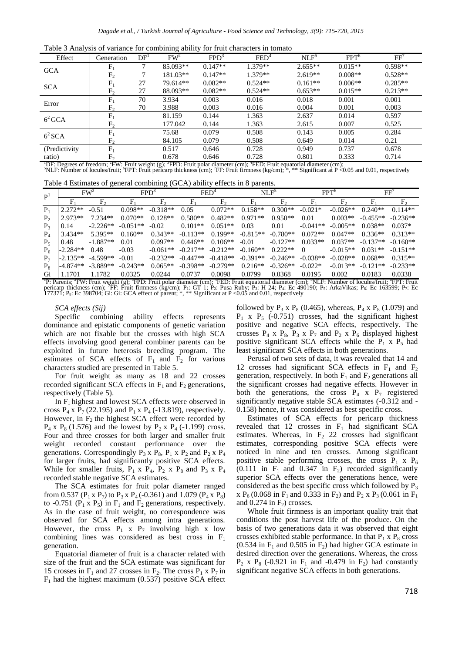|  |  |  | Table 3 Analysis of variance for combining ability for fruit characters in tomato |  |
|--|--|--|-----------------------------------------------------------------------------------|--|
|  |  |  |                                                                                   |  |

| -                                                                                                                                                                      |                |                 | ັ               |                  |                  |                  |                  |           |  |
|------------------------------------------------------------------------------------------------------------------------------------------------------------------------|----------------|-----------------|-----------------|------------------|------------------|------------------|------------------|-----------|--|
| Effect                                                                                                                                                                 | Generation     | DF <sup>1</sup> | FW <sup>2</sup> | FPD <sup>3</sup> | FED <sup>4</sup> | NLP <sup>5</sup> | FPT <sup>6</sup> | FF'       |  |
| <b>GCA</b>                                                                                                                                                             | $F_{1}$        | 7               | 85.093**        | $0.147**$        | 1.379**          | $2.655**$        | $0.015**$        | $0.598**$ |  |
|                                                                                                                                                                        | F <sub>2</sub> |                 | 181.03**        | $0.147**$        | 1.379**          | $2.619**$        | $0.008**$        | $0.528**$ |  |
| <b>SCA</b>                                                                                                                                                             | $F_{1}$        | 27              | 79.614**        | $0.082**$        | $0.524**$        | $0.161**$        | $0.006**$        | $0.285**$ |  |
|                                                                                                                                                                        | $F_{2}$        | 27              | 88.093**        | $0.082**$        | $0.524**$        | $0.653**$        | $0.015**$        | $0.213**$ |  |
| Error                                                                                                                                                                  | $F_{1}$        | 70              | 3.934           | 0.003            | 0.016            | 0.018            | 0.001            | 0.001     |  |
|                                                                                                                                                                        | F <sub>2</sub> | 70              | 3.988           | 0.003            | 0.016            | 0.004            | 0.001            | 0.003     |  |
| $6^2$ GCA                                                                                                                                                              | $F_{1}$        |                 | 81.159          | 0.144            | 1.363            | 2.637            | 0.014            | 0.597     |  |
|                                                                                                                                                                        | F,             |                 | 177.042         | 0.144            | 1.363            | 2.615            | 0.007            | 0.525     |  |
| $6^2$ SCA                                                                                                                                                              | $F_1$          |                 | 75.68           | 0.079            | 0.508            | 0.143            | 0.005            | 0.284     |  |
|                                                                                                                                                                        | F <sub>2</sub> |                 | 84.105          | 0.079            | 0.508            | 0.649            | 0.014            | 0.21      |  |
| (Predictivity)                                                                                                                                                         | $F_{1}$        |                 | 0.517           | 0.646            | 0.728            | 0.949            | 0.737            | 0.678     |  |
| ratio)                                                                                                                                                                 | F <sub>2</sub> |                 | 0.678           | 0.646            | 0.728            | 0.801            | 0.333            | 0.714     |  |
| <sup>1</sup> DF: Degrees of freedom: <sup>2</sup> FW: Fruit weight (g): <sup>2</sup> FPD: Fruit polar diameter (cm): <sup>4</sup> FED: Fruit equatorial diameter (cm): |                |                 |                 |                  |                  |                  |                  |           |  |

'DF: Degrees of freedom; 'FW: Fruit weight (g); 'FPD: Fruit polar diameter (cm); "FED: Fruit equatorial diameter (cm);<br><sup>5</sup>NLF: Number of locules/fruit; 'FPT: Fruit pericarp thickness (cm); 'FF: Fruit firmness (kg/cm); \*, \*

Table 4 Estimates of general combining (GCA) ability effects in 8 parents.

| P <sup>1</sup> |            | FW <sup>2</sup> |            | FPD <sup>3</sup> |            | $FED^4$        |            | NLP            |            | FPT <sup>6</sup> |            | FF                                                                                                                                                                                                                         |
|----------------|------------|-----------------|------------|------------------|------------|----------------|------------|----------------|------------|------------------|------------|----------------------------------------------------------------------------------------------------------------------------------------------------------------------------------------------------------------------------|
|                |            | F <sub>2</sub>  |            | $F_{2}$          |            | F <sub>2</sub> | F.         | F <sub>2</sub> | $F_{1}$    | $F_{2}$          | $F_{1}$    | $F_{2}$                                                                                                                                                                                                                    |
| $P_1$          | $2.272**$  | $-0.51$         | $0.098**$  | $-0.318**$       | 0.05       | $0.072**$      | $0.158**$  | $0.300**$      | $-0.021*$  | $-0.026**$       | $0.240**$  | $0.114**$                                                                                                                                                                                                                  |
| P <sub>2</sub> | $2.973**$  | $7.234**$       | $0.070**$  | $0.128**$        | $0.580**$  | $0.482**$      | $0.971**$  | $0.950**$      | 0.01       | $0.003**$        | $-0.455**$ | $-0.236**$                                                                                                                                                                                                                 |
| P <sub>3</sub> | 0.14       | $-2.226**$      | $-0.051**$ | $-0.02$          | $0.101**$  | $0.051**$      | 0.03       | 0.01           | $-0.041**$ | $-0.005**$       | $0.038**$  | $0.037*$                                                                                                                                                                                                                   |
| $P_4$          | 3.434**    | $5.395**$       | $0.160**$  | $0.343**$        | $-0.113**$ | $0.199**$      | $-0.815**$ | $-0.780**$     | $0.072**$  | $0.047**$        | $0.336**$  | $0.313**$                                                                                                                                                                                                                  |
| $P_{\rm s}$    | 0.48       | $-1.887**$      | 0.01       | $0.097**$        | $0.446**$  | $0.106**$      | $-0.01$    | $-0.127**$     | $0.033**$  | $0.037**$        | $-0.137**$ | $-0.160**$                                                                                                                                                                                                                 |
| $P_6$          | $-2.284**$ | 0.48            | $-0.03$    | $-0.061**$       | $-0.217**$ | $-0.212**$     | $-0.160**$ | $0.222**$      | $\Omega$   | $-0.015**$       | $0.031**$  | $-0.151**$                                                                                                                                                                                                                 |
| $P_7$          | $-2.135**$ | $-4.599**$      | $-0.01$    | $-0.232**$       | $-0.447**$ | $-0.418**$     | $-0.391**$ | $-0.246**$     | $-0.038**$ | $-0.028**$       | $0.068**$  | $0.315**$                                                                                                                                                                                                                  |
| $P_{8}$        | $-4.874**$ | $-3.889**$      | $-0.243**$ | $0.065**$        | $-0.398**$ | $-0.279**$     | $0.216**$  | $-0.326**$     | $-0.022*$  | $-0.013**$       | $-0.121**$ | $-0.233**$                                                                                                                                                                                                                 |
| Gi             | 1.1701     | 1.1782          | 0.0325     | 0.0244           | 0.0737     | 0.0098         | 0.0799     | 0.0368         | 0.0195     | 0.002            | 0.0183     | 0.0338                                                                                                                                                                                                                     |
|                |            |                 |            |                  |            |                |            |                |            |                  |            | <sup>1</sup> D. December <sup>2</sup> EW. Emit wordst (a): <sup>3</sup> EDD. Emit poles diemeter (am): <sup>4</sup> EED. Emit equatorial diemeter (am): <sup>3</sup> NI E. Number of legular fruit: <sup>0</sup> EDT. Emit |

<sup>1</sup>P: Parents; <sup>2</sup>FW: Fruit weight (g); <sup>3</sup>FPD: Fruit polar diameter (cm); <sup>4</sup>FED: Fruit equatorial diameter (cm); <sup>3</sup>NLF: Number of locules/fruit; <sup>6</sup>FPT: Fruit pericarp thickness (cm); <sup>7</sup>FF: Fruit firmness (kg/cm); P<sub>1</sub>

#### *SCA effects (Sij)*

Specific combining ability effects represents dominance and epistatic components of genetic variation which are not fixable but the crosses with high SCA effects involving good general combiner parents can be exploited in future heterosis breeding program. The estimates of SCA effects of  $F_1$  and  $F_2$  for various characters studied are presented in Table 5.

For fruit weight as many as 18 and 22 crosses recorded significant SCA effects in  $F_1$  and  $F_2$  generations, respectively (Table 5).

In  $F_1$  highest and lowest SCA effects were observed in cross  $P_4$  x  $P_7$  (22.195) and  $P_1$  x  $P_4$  (-13.819), respectively. However, in  $F_2$  the highest SCA effect were recorded by  $P_4$  x  $P_8$  (1.576) and the lowest by  $P_2$  x  $P_4$  (-1.199) cross. Four and three crosses for both larger and smaller fruit weight recorded constant performance over the generations. Correspondingly  $P_3$  x  $P_8$ ,  $P_1$  x  $P_2$  and  $P_2$  x  $P_4$ for larger fruits, had significantly positive SCA effects. While for smaller fruits,  $P_1 \times P_4$ ,  $P_2 \times P_8$  and  $P_3 \times P_4$ recorded stable negative SCA estimates.

The SCA estimates for fruit polar diameter ranged from 0.537 ( $P_1$  x  $P_7$ ) to  $P_3$  x  $P_4$  (-0.361) and 1.079 ( $P_4$  x  $P_8$ ) to -0.751 ( $P_1$  x  $P_5$ ) in  $F_1$  and  $F_2$  generations, respectively. As in the case of fruit weight, no correspondence was observed for SCA effects among intra generations. However, the cross  $P_1$  x  $P_7$  involving high x low combining lines was considered as best cross in  $F_1$ generation.

Equatorial diameter of fruit is a character related with size of the fruit and the SCA estimate was significant for 15 crosses in  $F_1$  and 27 crosses in  $F_2$ . The cross  $P_1$  x  $P_7$  in  $F_1$  had the highest maximum (0.537) positive SCA effect followed by  $P_3$  x  $P_8$  (0.465), whereas,  $P_4$  x  $P_8$  (1.079) and  $P_1$  x  $P_5$  (-0.751) crosses, had the significant highest positive and negative SCA effects, respectively. The crosses  $P_4$  x  $P_8$ ,  $P_3$  x  $P_7$  and  $P_2$  x  $P_6$  displayed highest positive significant SCA effects while the  $P_1$  x  $P_5$  had least significant SCA effects in both generations.

Perusal of two sets of data, it was revealed that 14 and 12 crosses had significant SCA effects in  $F_1$  and  $F_2$ generation, respectively. In both  $F_1$  and  $F_2$  generations all the significant crosses had negative effects. However in both the generations, the cross  $P_4$  x  $P_7$  registered significantly negative stable SCA estimates (-0.312 and - 0.158) hence, it was considered as best specific cross.

Estimates of SCA effects for pericarp thickness revealed that 12 crosses in  $F_1$  had significant SCA estimates. Whereas, in  $F_2$  22 crosses had significant estimates, corresponding positive SCA effects were noticed in nine and ten crosses. Among significant positive stable performing crosses, the cross  $P_1$  x  $P_6$  $(0.111$  in F<sub>1</sub> and 0.347 in F<sub>2</sub>) recorded significantly superior SCA effects over the generations hence, were considered as the best specific cross which followed by  $P_3$ x  $P_6$  (0.068 in  $F_1$  and 0.333 in  $F_2$ ) and  $P_2$  x  $P_3$  (0.061 in  $F_1$ ) and  $0.274$  in  $F_2$ ) crosses.

Whole fruit firmness is an important quality trait that conditions the post harvest life of the produce. On the basis of two generations data it was observed that eight crosses exhibited stable performance. In that  $P_1$  x  $P_8$  cross  $(0.534$  in F<sub>1</sub> and 0.505 in F<sub>2</sub>) had higher GCA estimate in desired direction over the generations. Whereas, the cross  $P_2$  x  $P_8$  (-0.921 in  $F_1$  and -0.479 in  $F_2$ ) had constantly significant negative SCA effects in both generations.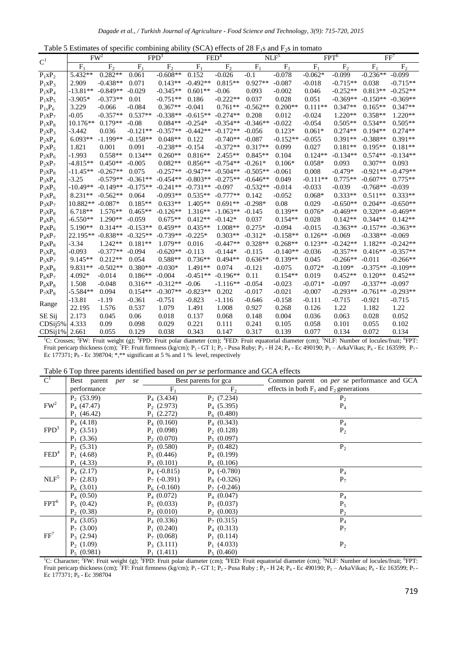|  |  |  |  | Table 5 Estimates of specific combining ability (SCA) effects of 28 $F_1s$ and $F_2s$ in tomato |
|--|--|--|--|-------------------------------------------------------------------------------------------------|
|--|--|--|--|-------------------------------------------------------------------------------------------------|

| C <sup>1</sup>       |            | FW <sup>2</sup> |            | FPD <sup>3</sup> |            | FED <sup>4</sup> |            | NLF <sup>5</sup> |            | FPT <sup>6</sup> |            | FF <sup>7</sup> |
|----------------------|------------|-----------------|------------|------------------|------------|------------------|------------|------------------|------------|------------------|------------|-----------------|
|                      | $F_1$      | F <sub>2</sub>  | $F_1$      | F <sub>2</sub>   | $F_1$      | F <sub>2</sub>   | $F_1$      | $F_1$            | $F_1$      | F <sub>2</sub>   | $F_1$      | F <sub>2</sub>  |
| $P_1xP_2$            | 5.432**    | $0.282**$       | 0.061      | $-0.608**$       | 0.152      | $-0.026$         | $-0.1$     | $-0.078$         | $-0.062*$  | $-0.099$         | $-0.236**$ | $-0.099$        |
| $P_1xP_3$            | 2.909      | $-0.438**$      | 0.071      | $0.143**$        | $-0.492**$ | $0.815**$        | $0.927**$  | $-0.087$         | $-0.018$   | $-0.715**$       | 0.038      | $-0.715**$      |
| $P_1XP_4$            | $-13.81**$ | $-0.849**$      | $-0.029$   | $-0.345**$       | $0.601**$  | $-0.06$          | 0.093      | $-0.002$         | 0.046      | $-0.252**$       | $0.813**$  | $-0.252**$      |
| $P_1xP_5$            | $-3.905*$  | $-0.373**$      | 0.01       | $-0.751**$       | 0.186      | $-0.222**$       | 0.037      | 0.028            | 0.051      | $-0.369**$       | $-0.150**$ | $-0.369**$      |
| $P_{1x}P_6$          | 3.229      | $-0.066$        | $-0.084$   | $0.367**$        | $-0.041$   | $0.761**$        | $-0.562**$ | $0.200**$        | $0.111**$  | $0.347**$        | $0.165**$  | $0.347**$       |
| $P_1xP_7$            | $-0.05$    | $-0.357**$      | $0.537**$  | $-0.338**$       | $-0.615**$ | $-0.274**$       | 0.208      | 0.012            | $-0.024$   | $1.220**$        | $0.358**$  | $1.220**$       |
| $P_1xP_8$            | $10.176**$ | $0.179**$       | $-0.08$    | $0.084**$        | $-0.254*$  | $-0.354**$       | $-0.346**$ | $-0.022$         | $-0.054$   | $0.505**$        | $0.534**$  | $0.505**$       |
| $P_2XP_3$            | $-3.442$   | 0.036           | $-0.121**$ | $-0.357**$       | $-0.442**$ | $-0.172**$       | $-0.056$   | $0.123*$         | $0.061*$   | $0.274**$        | $0.194**$  | $0.274**$       |
| $P_2XP_4$            | $6.093**$  | $-1.199**$      | $-0.158**$ | $0.048**$        | 0.122      | $-0.740**$       | $-0.087$   | $-0.152**$       | $-0.055$   | $0.391**$        | $-0.388**$ | $0.391**$       |
| $P_2XP_5$            | 1.821      | 0.001           | 0.091      | $-0.238**$       | $-0.154$   | $-0.372**$       | $0.317**$  | 0.099            | 0.027      | $0.181**$        | $0.195**$  | $0.181**$       |
| $P_2XP_6$            | $-1.993$   | $0.558**$       | $0.134**$  | $0.260**$        | $0.816**$  | $2.455**$        | $0.845**$  | 0.104            | $0.124**$  | $-0.134**$       | $0.574**$  | $-0.134**$      |
| $P_2XP_7$            | $-4.815**$ | $0.450**$       | $-0.005$   | $0.082**$        | $0.856**$  | $-0.754**$       | $-0.261*$  | $0.106*$         | $0.058*$   | 0.093            | $0.307**$  | 0.093           |
| $P_2XP_8$            | $-11.45**$ | $-0.267**$      | 0.075      | $-0.257**$       | $-0.947**$ | $-0.504**$       | $-0.505**$ | $-0.061$         | 0.008      | $-0.479*$        | $-0.921**$ | $-0.479**$      |
| $P_3XP_4$            | $-3.25$    | $-0.579**$      | $-0.361**$ | $-0.454**$       | $-0.803**$ | $-0.275**$       | $-0.646**$ | 0.049            | $-0.111**$ | $0.775**$        | $-0.607**$ | $0.775**$       |
| $P_3xP_5$            | $-10.49**$ | $-0.149**$      | $-0.175**$ | $-0.241**$       | $-0.731**$ | $-0.097$         | $-0.532**$ | $-0.014$         | $-0.033$   | $-0.039$         | $-0.768**$ | $-0.039$        |
| $P_3XP_6$            | $8.231**$  | $-0.562**$      | 0.064      | $-0.093**$       | $0.535**$  | $-0.777**$       | 0.142      | $-0.052$         | $0.068*$   | $0.333**$        | $0.511**$  | $0.333**$       |
| $P_3xP_7$            | 10.882**   | $-0.087*$       | $0.185**$  | $0.633**$        | $1.405**$  | $0.691**$        | $-0.298*$  | 0.08             | 0.029      | $-0.650**$       | $0.204**$  | $-0.650**$      |
| $P_3XP_8$            | $6.718**$  | $1.576**$       | $0.465**$  | $-0.126**$       | $1.316**$  | $-1.063**$       | $-0.145$   | $0.139**$        | $0.076*$   | $-0.469**$       | $0.320**$  | $-0.469**$      |
| $P_4xP_5$            | $-6.550**$ | $1.290**$       | $-0.059$   | $0.675**$        | $0.412**$  | $-0.142*$        | 0.037      | $0.154**$        | 0.028      | $0.142**$        | $0.344**$  | $0.142**$       |
| $P_4XP_6$            | $5.190**$  | $0.314**$       | $-0.153**$ | $0.459**$        | $0.435**$  | $1.008**$        | $0.275*$   | $-0.094$         | $-0.015$   | $-0.363**$       | $-0.157**$ | $-0.363**$      |
| $P_4XP_7$            | 22.195**   | $-0.838**$      | $-0.325**$ | $-0.739**$       | $-0.225*$  | $0.303**$        | $-0.312*$  | $-0.158**$       | $0.126**$  | $-0.069$         | $-0.338**$ | $-0.069$        |
| $P_4XP_8$            | $-3.34$    | $1.242**$       | $0.181**$  | $1.079**$        | 0.016      | $-0.447**$       | $0.328**$  | $0.268**$        | $0.123**$  | $-0.242**$       | $1.182**$  | $-0.242**$      |
| $P_5xP_6$            | $-0.093$   | $-0.377**$      | $-0.094$   | $-0.620**$       | $-0.113$   | $-0.144*$        | $-0.115$   | $-0.140**$       | $-0.036$   | $-0.357**$       | $0.416**$  | $-0.357**$      |
| $P_5XP_7$            | $9.145**$  | $0.212**$       | 0.054      | $0.588**$        | $0.736**$  | $0.494**$        | $0.636**$  | $0.139**$        | 0.045      | $-0.266**$       | $-0.011$   | $-0.266**$      |
| $P_5xP_8$            | 9.831**    | $-0.502**$      | $0.380**$  | $-0.030*$        | $1.491**$  | 0.074            | $-0.121$   | $-0.075$         | $0.072*$   | $-0.109*$        | $-0.375**$ | $-0.109**$      |
| $P_6xP_7$            | 4.092*     | $-0.014$        | $0.186**$  | $-0.004$         | $-0.451**$ | $-0.196**$       | 0.11       | $0.154**$        | 0.019      | $0.452**$        | $0.120**$  | $0.452**$       |
| $P_6xP_8$            | 1.508      | $-0.048$        | $0.316**$  | $-0.312**$       | $-0.06$    | $-1.116**$       | $-0.054$   | $-0.023$         | $-0.071*$  | $-0.097$         | $-0.337**$ | $-0.097$        |
| $P_7XP_8$            | $-5.584**$ | 0.094           | $0.154**$  | $-0.307**$       | $-0.823**$ | 0.202            | $-0.017$   | $-0.021$         | $-0.007$   | $-0.293**$       | $-0.761**$ | $-0.293**$      |
| Range                | $-13.81$   | $-1.19$         | $-0.361$   | $-0.751$         | $-0.823$   | $-1.116$         | $-0.646$   | $-0.158$         | $-0.111$   | $-0.715$         | $-0.921$   | $-0.715$        |
|                      | 22.195     | 1.576           | 0.537      | 1.079            | 1.491      | 1.008            | 0.927      | 0.268            | 0.126      | 1.22             | 1.182      | 1.22            |
| SE Sij               | 2.173      | 0.045           | 0.06       | 0.018            | 0.137      | 0.068            | 0.148      | 0.004            | 0.036      | 0.063            | 0.028      | 0.052           |
| CDSi <sub>15%</sub>  | 4.333      | 0.09            | 0.098      | 0.029            | 0.221      | 0.111            | 0.241      | 0.105            | 0.058      | 0.101            | 0.055      | 0.102           |
| CDSi <sub>1</sub> 1% | 2.661      | 0.055           | 0.129      | 0.038            | 0.343      | 0.147            | 0.317      | 0.139            | 0.077      | 0.134            | 0.072      | 0.134           |

<sup>1</sup>C: Crosses; <sup>2</sup>FW: Fruit weight (g); <sup>3</sup>FPD: Fruit polar diameter (cm); <sup>4</sup>FED: Fruit equatorial diameter (cm); <sup>5</sup>NLF: Number of locules/fruit; <sup>6</sup>FPT: Fruit pericarp thickness (cm); <sup>7</sup>FF: Fruit firmness (kg/cm); P<sub>1</sub> - GT 1; P<sub>2</sub> - Pusa Ruby; P<sub>3</sub> - H 24; P<sub>4</sub> - Ec 490190; P<sub>5</sub> – ArkaVikas; P<sub>6</sub> - Ec 163599; P<sub>7</sub> -Ec 177371;  $P_8$  - Ec 398704; \*,\*\* significant at 5 % and 1 % level, respectively

| Table 6 Top three parents identified based on <i>per se</i> performance and GCA effects |  |  |
|-----------------------------------------------------------------------------------------|--|--|
|-----------------------------------------------------------------------------------------|--|--|

| C <sup>1</sup>   | Best parent <i>per</i> se |                | Best parents for gca | Common parent on <i>per se</i> performance and GCA |
|------------------|---------------------------|----------------|----------------------|----------------------------------------------------|
|                  | performance               | $F_{1}$        | F <sub>2</sub>       | effects in both $F_1$ and $F_2$ generations        |
|                  | $P_2$ (53.99)             | $P_4$ (3.434)  | $P_2$ (7.234)        | $P_2$                                              |
| FW <sup>2</sup>  | $P_4$ (47.47)             | $P_2(2.973)$   | $P_4$ (5.395)        | $P_4$                                              |
|                  | $P_1$ (46.42)             | $P_1$ (2.272)  | $P_6(0.480)$         |                                                    |
|                  | $P_4(4.18)$               | $P_4(0.160)$   | $P_4$ (0.343)        | $P_4$                                              |
| FPD <sup>3</sup> | $P_2$ (3.51)              | $P_1$ (0.098)  | $P_2(0.128)$         | $P_2$                                              |
|                  | $P_1$ (3.36)              | $P_2(0.070)$   | $P_5(0.097)$         |                                                    |
|                  | $P_2$ (5.31)              | $P_2(0.580)$   | $P_2$ (0.482)        | P <sub>2</sub>                                     |
| FED <sup>4</sup> | $P_1$ (4.68)              | $P_5(0.446)$   | $P_4(0.199)$         |                                                    |
|                  | $P_1$ (4.33)              | $P_3(0.101)$   | $P_6(0.106)$         |                                                    |
|                  | $P_4(2.17)$               | $P_4$ (-0.815) | $P_4$ (-0.780)       | $P_4$                                              |
| NLF <sup>5</sup> | $P_7(2.83)$               | $P_7$ (-0.391) | $P_8$ (-0.326)       | $P_7$                                              |
|                  | $P_6$ (3.01)              | $P_6$ (-0.160) | $P_7$ (-0.246)       |                                                    |
|                  | $P_4(0.50)$               | $P_4(0.072)$   | $P_4(0.047)$         | $P_4$                                              |
| FPT <sup>6</sup> | $P_5(0.42)$               | $P_5(0.033)$   | $P_5(0.037)$         | $P_5$                                              |
|                  | $P_2$ (0.38)              | $P_2(0.010)$   | $P_2(0.003)$         | P <sub>2</sub>                                     |
|                  | $P_4$ (3.05)              | $P_4$ (0.336)  | $P_7(0.315)$         | $P_4$                                              |
|                  | $P_7$ (3.00)              | $P_1(0.240)$   | $P_4(0.313)$         | $P_7$                                              |
| FF <sup>7</sup>  | $P_3(2.94)$               | $P_7(0.068)$   | $P_1$ (0.114)        |                                                    |
|                  | $P_2(1.09)$               | $P_3$ (3.111)  | $P_1$ (4.033)        | $P_2$                                              |
|                  | $P_5(0.981)$              | $P_1(1.411)$   | $P_5(0.460)$         |                                                    |

<sup>1</sup>C: Character; <sup>2</sup>FW: Fruit weight (g); <sup>3</sup>FPD: Fruit polar diameter (cm); <sup>4</sup>FED: Fruit equatorial diameter (cm); <sup>5</sup>NLF: Number of locules/fruit; <sup>6</sup>FPT: Fruit pericarp thickness (cm); <sup>7</sup>FF: Fruit firmness (kg/cm); P<sub>1</sub> - GT 1; P<sub>2</sub> - Pusa Ruby ; P<sub>3</sub> - H 24; P<sub>4</sub> - Ec 490190; P<sub>5</sub> - ArkaVikas; P<sub>6</sub> - Ec 163599; P<sub>7</sub> -Ec 177371;  $P_8$  - Ec 398704